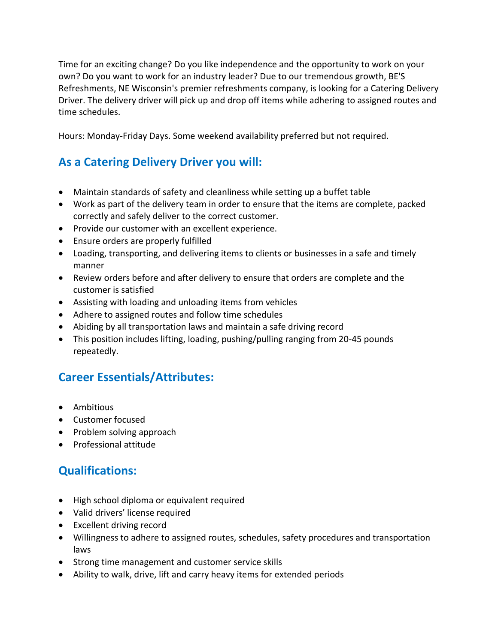Time for an exciting change? Do you like independence and the opportunity to work on your own? Do you want to work for an industry leader? Due to our tremendous growth, BE'S Refreshments, NE Wisconsin's premier refreshments company, is looking for a Catering Delivery Driver. The delivery driver will pick up and drop off items while adhering to assigned routes and time schedules.

Hours: Monday-Friday Days. Some weekend availability preferred but not required.

## **As a Catering Delivery Driver you will:**

- Maintain standards of safety and cleanliness while setting up a buffet table
- Work as part of the delivery team in order to ensure that the items are complete, packed correctly and safely deliver to the correct customer.
- Provide our customer with an excellent experience.
- Ensure orders are properly fulfilled
- Loading, transporting, and delivering items to clients or businesses in a safe and timely manner
- Review orders before and after delivery to ensure that orders are complete and the customer is satisfied
- Assisting with loading and unloading items from vehicles
- Adhere to assigned routes and follow time schedules
- Abiding by all transportation laws and maintain a safe driving record
- This position includes lifting, loading, pushing/pulling ranging from 20-45 pounds repeatedly.

## **Career Essentials/Attributes:**

- Ambitious
- Customer focused
- Problem solving approach
- Professional attitude

## **Qualifications:**

- High school diploma or equivalent required
- Valid drivers' license required
- Excellent driving record
- Willingness to adhere to assigned routes, schedules, safety procedures and transportation laws
- Strong time management and customer service skills
- Ability to walk, drive, lift and carry heavy items for extended periods